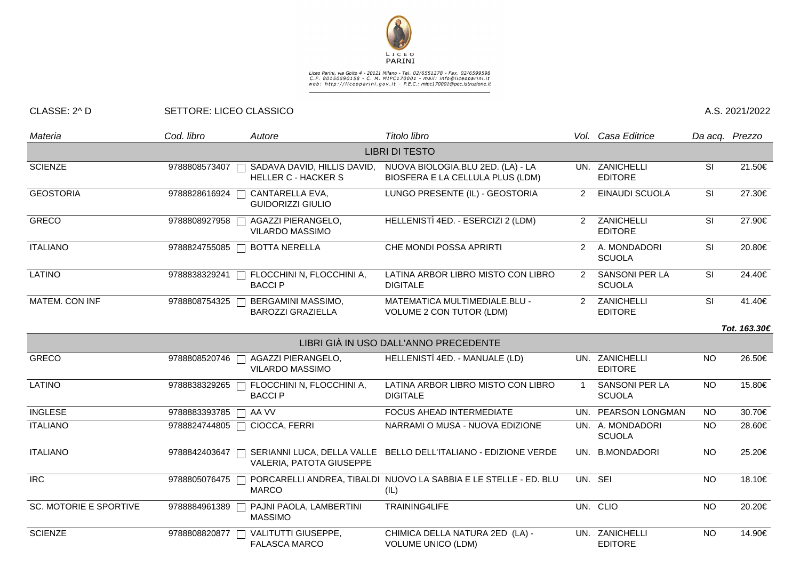

## Liceo Parini, via Goito 4 - 20121 Milano - Tel. 02/6551278 - Fax. 02/6599598<br>C.F. 80150590158 - C. M. MIPC170001 - mail: info@liceoparini.it<br>web: http://liceoparini.gov.it - P.E.C.: mipc170001@pec.istruzione.it

## CLASSE: 2^ D SETTORE: LICEO CLASSICO A.S. 2021/2022

| Materia                       | Cod. libro      | Autore                                                    | Titolo libro                                                             |                                   | Vol. Casa Editrice                     |                          | Da acq. Prezzo |
|-------------------------------|-----------------|-----------------------------------------------------------|--------------------------------------------------------------------------|-----------------------------------|----------------------------------------|--------------------------|----------------|
|                               |                 |                                                           | <b>LIBRI DI TESTO</b>                                                    |                                   |                                        |                          |                |
| <b>SCIENZE</b>                | 9788808573407   | SADAVA DAVID, HILLIS DAVID,<br><b>HELLER C - HACKER S</b> | NUOVA BIOLOGIA.BLU 2ED. (LA) - LA<br>BIOSFERA E LA CELLULA PLUS (LDM)    | UN. ZANICHELLI<br><b>EDITORE</b>  |                                        | <b>SI</b>                | 21.50€         |
| <b>GEOSTORIA</b>              | 9788828616924   | CANTARELLA EVA,<br><b>GUIDORIZZI GIULIO</b>               | LUNGO PRESENTE (IL) - GEOSTORIA                                          | 2                                 | EINAUDI SCUOLA                         | SI                       | 27.30€         |
| <b>GRECO</b>                  | 9788808927958   | AGAZZI PIERANGELO,<br><b>VILARDO MASSIMO</b>              | HELLENISTÌ 4ED. - ESERCIZI 2 (LDM)                                       | ZANICHELLI<br>2<br><b>EDITORE</b> |                                        | <b>SI</b>                | 27.90€         |
| <b>ITALIANO</b>               | 9788824755085   | <b>BOTTA NERELLA</b>                                      | CHE MONDI POSSA APRIRTI                                                  | 2                                 | A. MONDADORI<br><b>SCUOLA</b>          | $\overline{\mathsf{SI}}$ | 20.80€         |
| <b>LATINO</b>                 | 9788838329241   | FLOCCHINI N, FLOCCHINI A,<br><b>BACCIP</b>                | LATINA ARBOR LIBRO MISTO CON LIBRO<br><b>DIGITALE</b>                    | $\overline{2}$                    | <b>SANSONI PER LA</b><br><b>SCUOLA</b> | SI                       | 24.40€         |
| MATEM. CON INF                | 9788808754325   | <b>BERGAMINI MASSIMO,</b><br><b>BAROZZI GRAZIELLA</b>     | <b>MATEMATICA MULTIMEDIALE.BLU -</b><br><b>VOLUME 2 CON TUTOR (LDM)</b>  |                                   | 2 ZANICHELLI<br><b>EDITORE</b>         | SI                       | 41.40€         |
|                               |                 |                                                           |                                                                          |                                   |                                        |                          | Tot. 163.30€   |
|                               |                 |                                                           | LIBRI GIÀ IN USO DALL'ANNO PRECEDENTE                                    |                                   |                                        |                          |                |
| <b>GRECO</b>                  | 9788808520746   | AGAZZI PIERANGELO,<br><b>VILARDO MASSIMO</b>              | HELLENISTÌ 4ED. - MANUALE (LD)                                           |                                   | UN. ZANICHELLI<br><b>EDITORE</b>       | <b>NO</b>                | 26.50€         |
| <b>LATINO</b>                 | 9788838329265 [ | FLOCCHINI N, FLOCCHINI A,<br><b>BACCIP</b>                | LATINA ARBOR LIBRO MISTO CON LIBRO<br><b>DIGITALE</b>                    | $\overline{1}$                    | <b>SANSONI PER LA</b><br><b>SCUOLA</b> | <b>NO</b>                | 15.80€         |
| <b>INGLESE</b>                | 9788883393785   | AA VV                                                     | FOCUS AHEAD INTERMEDIATE                                                 | UN. PEARSON LONGMAN               |                                        | <b>NO</b>                | 30.70€         |
| <b>ITALIANO</b>               | 9788824744805   | CIOCCA, FERRI                                             | NARRAMI O MUSA - NUOVA EDIZIONE                                          |                                   | UN. A. MONDADORI<br><b>SCUOLA</b>      | NO.                      | 28.60€         |
| <b>ITALIANO</b>               | 9788842403647   | SERIANNI LUCA, DELLA VALLE<br>VALERIA, PATOTA GIUSEPPE    | BELLO DELL'ITALIANO - EDIZIONE VERDE                                     |                                   | UN. B.MONDADORI                        | <b>NO</b>                | 25.20€         |
| <b>IRC</b>                    | 9788805076475   | <b>MARCO</b>                                              | PORCARELLI ANDREA, TIBALDI NUOVO LA SABBIA E LE STELLE - ED. BLU<br>(IL) |                                   | UN. SEI                                | <b>NO</b>                | 18.10€         |
| <b>SC. MOTORIE E SPORTIVE</b> | 9788884961389   | PAJNI PAOLA, LAMBERTINI<br><b>MASSIMO</b>                 | TRAINING4LIFE                                                            |                                   | UN. CLIO                               | <b>NO</b>                | 20.20€         |
| <b>SCIENZE</b>                | 9788808820877   | VALITUTTI GIUSEPPE,<br><b>FALASCA MARCO</b>               | CHIMICA DELLA NATURA 2ED (LA) -<br><b>VOLUME UNICO (LDM)</b>             |                                   | UN. ZANICHELLI<br><b>EDITORE</b>       | <b>NO</b>                | 14.90€         |